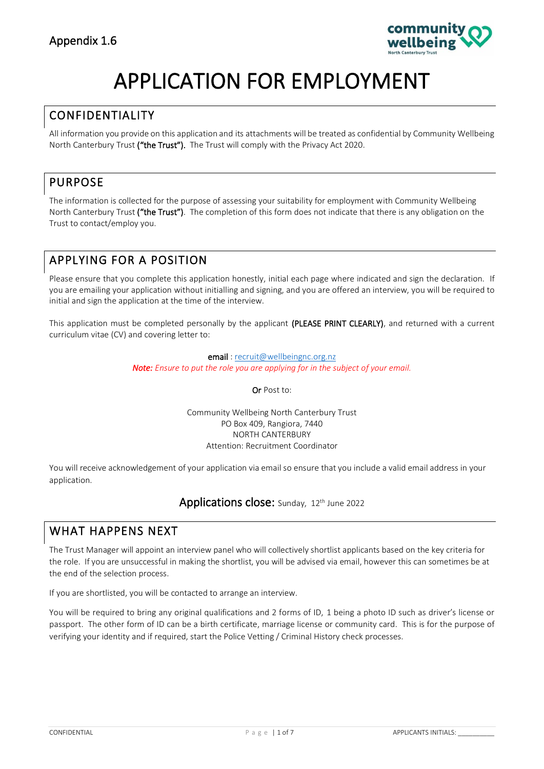

# APPLICATION FOR EMPLOYMENT

## CONFIDENTIALITY

All information you provide on this application and its attachments will be treated as confidential by Community Wellbeing North Canterbury Trust ("the Trust"). The Trust will comply with the Privacy Act 2020.

## PURPOSE

The information is collected for the purpose of assessing your suitability for employment with Community Wellbeing North Canterbury Trust ("the Trust"). The completion of this form does not indicate that there is any obligation on the Trust to contact/employ you.

# APPLYING FOR A POSITION

Please ensure that you complete this application honestly, initial each page where indicated and sign the declaration. If you are emailing your application without initialling and signing, and you are offered an interview, you will be required to initial and sign the application at the time of the interview.

This application must be completed personally by the applicant (PLEASE PRINT CLEARLY), and returned with a current curriculum vitae (CV) and covering letter to:

> email [: recruit@wellbeingnc.org.nz](mailto:recruit@wellbeingnc.org.nz) *Note: Ensure to put the role you are applying for in the subject of your email.*

> > Or Post to:

Community Wellbeing North Canterbury Trust PO Box 409, Rangiora, 7440 NORTH CANTERBURY Attention: Recruitment Coordinator

You will receive acknowledgement of your application via email so ensure that you include a valid email address in your application.

## Applications close: Sunday, 12th June 2022

## WHAT HAPPENS NEXT

The Trust Manager will appoint an interview panel who will collectively shortlist applicants based on the key criteria for the role. If you are unsuccessful in making the shortlist, you will be advised via email, however this can sometimes be at the end of the selection process.

If you are shortlisted, you will be contacted to arrange an interview.

You will be required to bring any original qualifications and 2 forms of ID, 1 being a photo ID such as driver's license or passport. The other form of ID can be a birth certificate, marriage license or community card. This is for the purpose of verifying your identity and if required, start the Police Vetting / Criminal History check processes.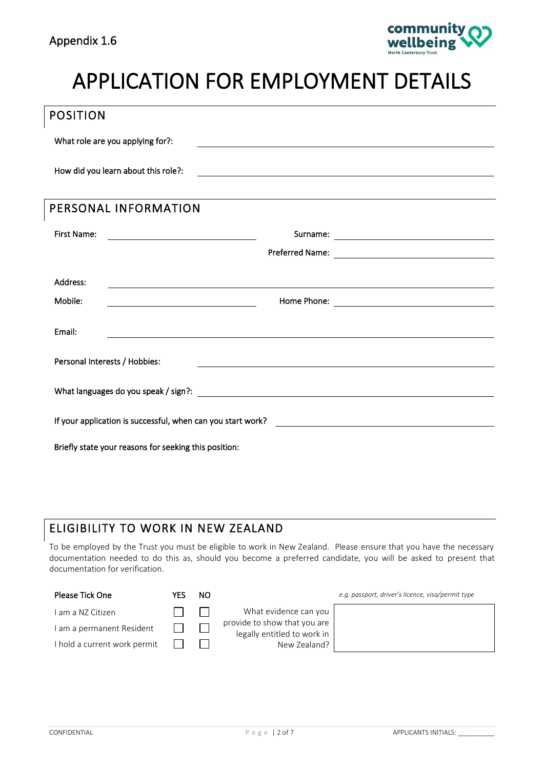

# APPLICATION FOR EMPLOYMENT DETAILS

| <b>POSITION</b>                     |                                                       |                                                                                                                      |
|-------------------------------------|-------------------------------------------------------|----------------------------------------------------------------------------------------------------------------------|
| What role are you applying for?:    |                                                       |                                                                                                                      |
| How did you learn about this role?: |                                                       | <u> 1989 - Johann Barn, fransk politik (d. 1989)</u>                                                                 |
| PERSONAL INFORMATION                |                                                       |                                                                                                                      |
| <b>First Name:</b>                  |                                                       |                                                                                                                      |
|                                     |                                                       |                                                                                                                      |
| Address:                            |                                                       |                                                                                                                      |
| Mobile:                             |                                                       |                                                                                                                      |
| Email:                              |                                                       |                                                                                                                      |
| Personal Interests / Hobbies:       |                                                       | <u> 1989 - Johann John Stein, markin fyrstu og fyrstu og fyrir og fyrir og fyrir og fyrir og fyrir og fyrir og f</u> |
|                                     |                                                       |                                                                                                                      |
|                                     |                                                       |                                                                                                                      |
|                                     | Briefly state your reasons for seeking this position: |                                                                                                                      |

# ELIGIBILITY TO WORK IN NEW ZEALAND

To be employed by the Trust you must be eligible to work in New Zealand. Please ensure that you have the necessary documentation needed to do this as, should you become a preferred candidate, you will be asked to present that documentation for verification.

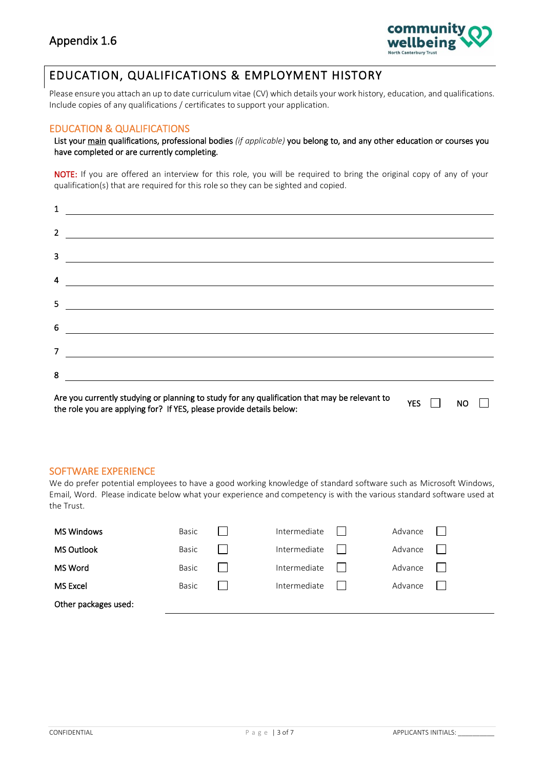

## EDUCATION, QUALIFICATIONS & EMPLOYMENT HISTORY

Please ensure you attach an up to date curriculum vitae (CV) which details your work history, education, and qualifications. Include copies of any qualifications / certificates to support your application.

#### EDUCATION & QUALIFICATIONS

List your main qualifications, professional bodies *(if applicable)* you belong to, and any other education or courses you have completed or are currently completing.

NOTE: If you are offered an interview for this role, you will be required to bring the original copy of any of your qualification(s) that are required for this role so they can be sighted and copied.

| $\mathbf{1}$ |                                                                                                                                                                                                                                                                                                                                                                                                                                                                                   |
|--------------|-----------------------------------------------------------------------------------------------------------------------------------------------------------------------------------------------------------------------------------------------------------------------------------------------------------------------------------------------------------------------------------------------------------------------------------------------------------------------------------|
|              |                                                                                                                                                                                                                                                                                                                                                                                                                                                                                   |
|              |                                                                                                                                                                                                                                                                                                                                                                                                                                                                                   |
|              | $\overline{4}$ $\overline{\phantom{a}}$                                                                                                                                                                                                                                                                                                                                                                                                                                           |
|              | $\begin{tabular}{c} 5 & \begin{tabular}{@{}c@{}} \multicolumn{3}{c}{} \multicolumn{3}{c}{} \multicolumn{3}{c}{} \multicolumn{3}{c}{} \multicolumn{3}{c}{} \multicolumn{3}{c}{} \multicolumn{3}{c}{} \multicolumn{3}{c}{} \multicolumn{3}{c}{} \multicolumn{3}{c}{} \multicolumn{3}{c}{} \multicolumn{3}{c}{} \multicolumn{3}{c}{} \multicolumn{3}{c}{} \multicolumn{3}{c}{} \multicolumn{3}{c}{} \multicolumn{3}{c}{} \multicolumn{3}{c}{} \multicolumn{3}{c}{} \multicolumn{3}{$ |
|              | $6 \overline{\phantom{a}}$                                                                                                                                                                                                                                                                                                                                                                                                                                                        |
|              | $7 \quad \overline{\qquad \qquad }$                                                                                                                                                                                                                                                                                                                                                                                                                                               |
| 8            |                                                                                                                                                                                                                                                                                                                                                                                                                                                                                   |
|              |                                                                                                                                                                                                                                                                                                                                                                                                                                                                                   |

Are you currently studying or planning to study for any qualification that may be relevant to YES **NO**  $\Box$ the role you are applying for? If YES, please provide details below:

#### SOFTWARE EXPERIENCE

We do prefer potential employees to have a good working knowledge of standard software such as Microsoft Windows, Email, Word. Please indicate below what your experience and competency is with the various standard software used at the Trust.

| <b>MS Windows</b>    | Basic        | Intermediate | Advance |  |
|----------------------|--------------|--------------|---------|--|
| <b>MS Outlook</b>    | Basic        | Intermediate | Advance |  |
| MS Word              | <b>Basic</b> | Intermediate | Advance |  |
| <b>MS Excel</b>      | <b>Basic</b> | Intermediate | Advance |  |
| Other packages used: |              |              |         |  |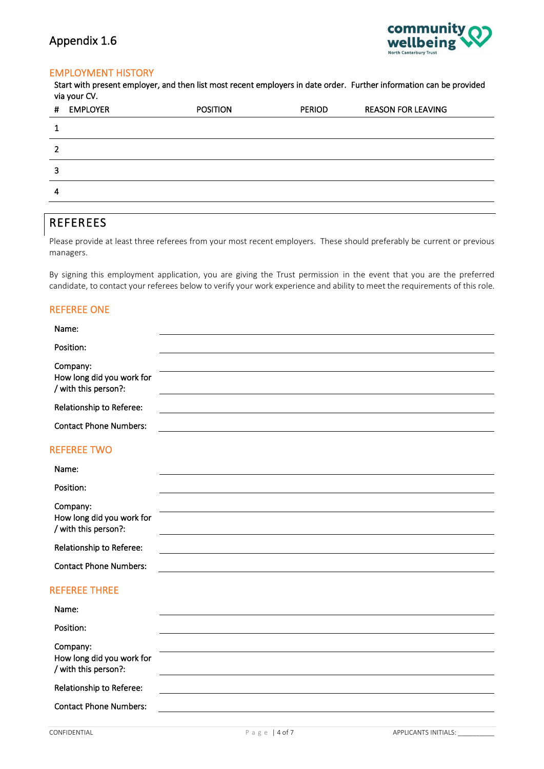

### EMPLOYMENT HISTORY

Start with present employer, and then list most recent employers in date order. Further information can be provided via your CV.

| # | <b>EMPLOYER</b> | <b>POSITION</b> | <b>PERIOD</b> | <b>REASON FOR LEAVING</b> |
|---|-----------------|-----------------|---------------|---------------------------|
|   |                 |                 |               |                           |
| 2 |                 |                 |               |                           |
| 3 |                 |                 |               |                           |
| 4 |                 |                 |               |                           |
|   |                 |                 |               |                           |

# REFEREES

Please provide at least three referees from your most recent employers. These should preferably be current or previous managers.

By signing this employment application, you are giving the Trust permission in the event that you are the preferred candidate, to contact your referees below to verify your work experience and ability to meet the requirements of this role.

### REFEREE ONE

| Name:                                             |  |
|---------------------------------------------------|--|
| Position:                                         |  |
| Company:                                          |  |
| How long did you work for<br>/ with this person?: |  |
| Relationship to Referee:                          |  |
| <b>Contact Phone Numbers:</b>                     |  |

#### REFEREE TWO

| Name:                                             |  |
|---------------------------------------------------|--|
| Position:                                         |  |
| Company:                                          |  |
| How long did you work for<br>/ with this person?: |  |
| Relationship to Referee:                          |  |
| <b>Contact Phone Numbers:</b>                     |  |

### REFEREE THREE

| Name:                                                         |  |
|---------------------------------------------------------------|--|
| Position:                                                     |  |
| Company:<br>How long did you work for<br>/ with this person?: |  |
| Relationship to Referee:                                      |  |
| <b>Contact Phone Numbers:</b>                                 |  |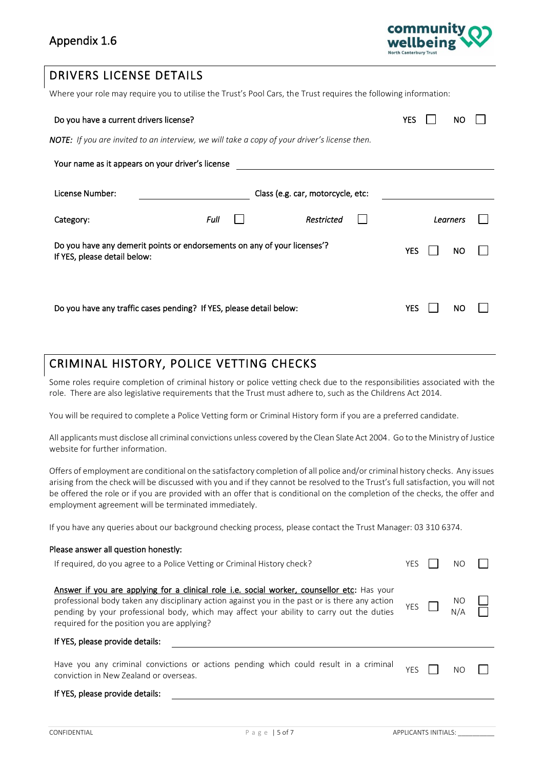

## DRIVERS LICENSE DETAILS

Where your role may require you to utilise the Trust's Pool Cars, the Trust requires the following information:

| Do you have a current drivers license?                                                                   |      |                                   | YES | NC       |  |
|----------------------------------------------------------------------------------------------------------|------|-----------------------------------|-----|----------|--|
| <b>NOTE:</b> If you are invited to an interview, we will take a copy of your driver's license then.      |      |                                   |     |          |  |
| Your name as it appears on your driver's license                                                         |      |                                   |     |          |  |
| License Number:                                                                                          |      | Class (e.g. car, motorcycle, etc: |     |          |  |
| Category:                                                                                                | Full | Restricted                        |     | Learners |  |
| Do you have any demerit points or endorsements on any of your licenses'?<br>If YES, please detail below: |      |                                   | YES | NО       |  |
| Do you have any traffic cases pending? If YES, please detail below:                                      |      |                                   | YES | NС       |  |

## CRIMINAL HISTORY, POLICE VETTING CHECKS

Some roles require completion of criminal history or police vetting check due to the responsibilities associated with the role. There are also legislative requirements that the Trust must adhere to, such as the Childrens Act 2014.

You will be required to complete a Police Vetting form or Criminal History form if you are a preferred candidate.

All applicants must disclose all criminal convictions unless covered by the Clean Slate Act 2004. Go to the Ministry of Justice website for further information.

Offers of employment are conditional on the satisfactory completion of all police and/or criminal history checks. Any issues arising from the check will be discussed with you and if they cannot be resolved to the Trust's full satisfaction, you will not be offered the role or if you are provided with an offer that is conditional on the completion of the checks, the offer and employment agreement will be terminated immediately.

If you have any queries about our background checking process, please contact the Trust Manager: 03 310 6374.

| Please answer all question honestly:                                                                                                                                                                                                                                                                                                     |            |     |  |
|------------------------------------------------------------------------------------------------------------------------------------------------------------------------------------------------------------------------------------------------------------------------------------------------------------------------------------------|------------|-----|--|
| If required, do you agree to a Police Vetting or Criminal History check?                                                                                                                                                                                                                                                                 | YES        | NΟ  |  |
| Answer if you are applying for a clinical role i.e. social worker, counsellor etc: Has your<br>professional body taken any disciplinary action against you in the past or is there any action<br>pending by your professional body, which may affect your ability to carry out the duties<br>required for the position you are applying? | <b>YES</b> | NO. |  |
| If YES, please provide details:                                                                                                                                                                                                                                                                                                          |            |     |  |
| Have you any criminal convictions or actions pending which could result in a criminal<br>conviction in New Zealand or overseas.                                                                                                                                                                                                          | YES        | NO  |  |
| If YES, please provide details:                                                                                                                                                                                                                                                                                                          |            |     |  |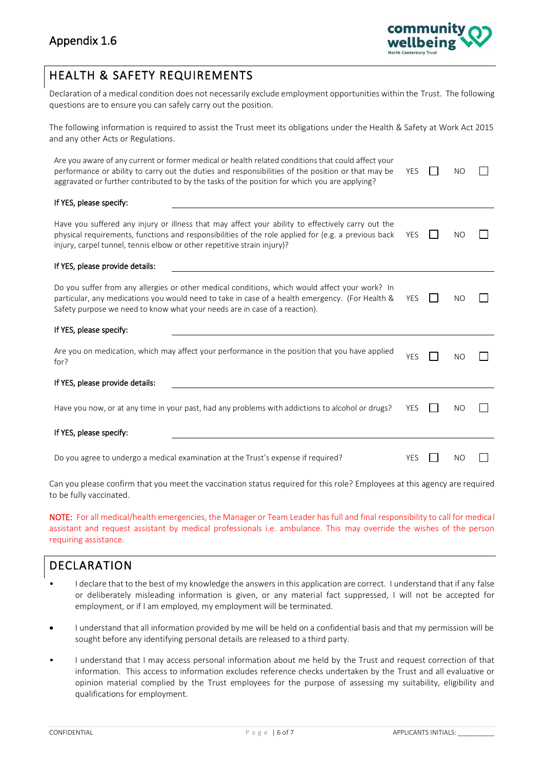

# HEALTH & SAFETY REQUIREMENTS

Declaration of a medical condition does not necessarily exclude employment opportunities within the Trust. The following questions are to ensure you can safely carry out the position.

The following information is required to assist the Trust meet its obligations under the Health & Safety at Work Act 2015 and any other Acts or Regulations.

| Are you aware of any current or former medical or health related conditions that could affect your<br>performance or ability to carry out the duties and responsibilities of the position or that may be<br>aggravated or further contributed to by the tasks of the position for which you are applying? | <b>YES</b> | NO        |  |
|-----------------------------------------------------------------------------------------------------------------------------------------------------------------------------------------------------------------------------------------------------------------------------------------------------------|------------|-----------|--|
| If YES, please specify:                                                                                                                                                                                                                                                                                   |            |           |  |
| Have you suffered any injury or illness that may affect your ability to effectively carry out the<br>physical requirements, functions and responsibilities of the role applied for (e.g. a previous back<br>injury, carpel tunnel, tennis elbow or other repetitive strain injury)?                       | <b>YES</b> | <b>NO</b> |  |
| If YES, please provide details:                                                                                                                                                                                                                                                                           |            |           |  |
| Do you suffer from any allergies or other medical conditions, which would affect your work? In<br>particular, any medications you would need to take in case of a health emergency. (For Health &<br>Safety purpose we need to know what your needs are in case of a reaction).                           | <b>YES</b> | NO        |  |
| If YES, please specify:                                                                                                                                                                                                                                                                                   |            |           |  |
| Are you on medication, which may affect your performance in the position that you have applied<br>for?                                                                                                                                                                                                    | <b>YES</b> | NO        |  |
| If YES, please provide details:                                                                                                                                                                                                                                                                           |            |           |  |
| Have you now, or at any time in your past, had any problems with addictions to alcohol or drugs?                                                                                                                                                                                                          | <b>YES</b> | NO        |  |
| If YES, please specify:                                                                                                                                                                                                                                                                                   |            |           |  |
| Do you agree to undergo a medical examination at the Trust's expense if required?                                                                                                                                                                                                                         | <b>YES</b> | NO        |  |

Can you please confirm that you meet the vaccination status required for this role? Employees at this agency are required to be fully vaccinated.

NOTE: For all medical/health emergencies, the Manager or Team Leader has full and final responsibility to call for medical assistant and request assistant by medical professionals i.e. ambulance. This may override the wishes of the person requiring assistance.

## DECLARATION

- I declare that to the best of my knowledge the answers in this application are correct. I understand that if any false or deliberately misleading information is given, or any material fact suppressed, I will not be accepted for employment, or if I am employed, my employment will be terminated.
- I understand that all information provided by me will be held on a confidential basis and that my permission will be sought before any identifying personal details are released to a third party.
- I understand that I may access personal information about me held by the Trust and request correction of that information. This access to information excludes reference checks undertaken by the Trust and all evaluative or opinion material complied by the Trust employees for the purpose of assessing my suitability, eligibility and qualifications for employment.